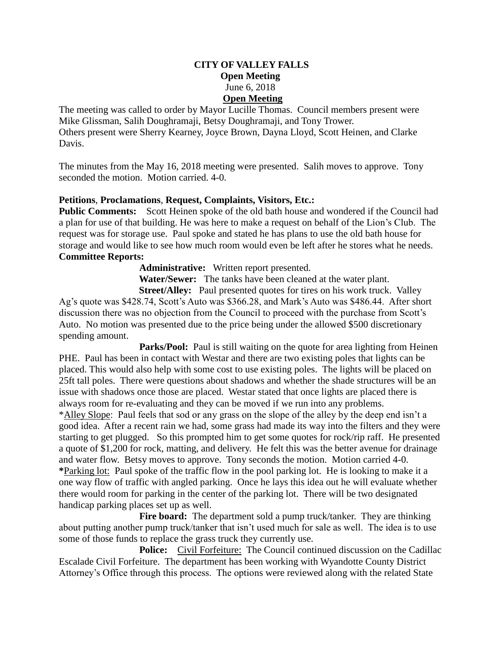## **CITY OF VALLEY FALLS Open Meeting** June 6, 2018 **Open Meeting**

The meeting was called to order by Mayor Lucille Thomas. Council members present were Mike Glissman, Salih Doughramaji, Betsy Doughramaji, and Tony Trower. Others present were Sherry Kearney, Joyce Brown, Dayna Lloyd, Scott Heinen, and Clarke Davis.

The minutes from the May 16, 2018 meeting were presented. Salih moves to approve. Tony seconded the motion. Motion carried. 4-0.

## **Petitions**, **Proclamations**, **Request, Complaints, Visitors, Etc.:**

**Public Comments:** Scott Heinen spoke of the old bath house and wondered if the Council had a plan for use of that building. He was here to make a request on behalf of the Lion's Club. The request was for storage use. Paul spoke and stated he has plans to use the old bath house for storage and would like to see how much room would even be left after he stores what he needs. **Committee Reports:** 

**Administrative:** Written report presented.

**Water/Sewer:** The tanks have been cleaned at the water plant.

**Street/Alley:** Paul presented quotes for tires on his work truck. Valley Ag's quote was \$428.74, Scott's Auto was \$366.28, and Mark's Auto was \$486.44. After short discussion there was no objection from the Council to proceed with the purchase from Scott's Auto. No motion was presented due to the price being under the allowed \$500 discretionary spending amount.

**Parks/Pool:** Paul is still waiting on the quote for area lighting from Heinen PHE. Paul has been in contact with Westar and there are two existing poles that lights can be placed. This would also help with some cost to use existing poles. The lights will be placed on 25ft tall poles. There were questions about shadows and whether the shade structures will be an issue with shadows once those are placed. Westar stated that once lights are placed there is always room for re-evaluating and they can be moved if we run into any problems. \*Alley Slope: Paul feels that sod or any grass on the slope of the alley by the deep end isn't a good idea. After a recent rain we had, some grass had made its way into the filters and they were starting to get plugged. So this prompted him to get some quotes for rock/rip raff. He presented a quote of \$1,200 for rock, matting, and delivery. He felt this was the better avenue for drainage and water flow. Betsy moves to approve. Tony seconds the motion. Motion carried 4-0. **\***Parking lot: Paul spoke of the traffic flow in the pool parking lot. He is looking to make it a one way flow of traffic with angled parking. Once he lays this idea out he will evaluate whether there would room for parking in the center of the parking lot. There will be two designated handicap parking places set up as well.

Fire board: The department sold a pump truck/tanker. They are thinking about putting another pump truck/tanker that isn't used much for sale as well. The idea is to use some of those funds to replace the grass truck they currently use.

**Police:** Civil Forfeiture: The Council continued discussion on the Cadillac Escalade Civil Forfeiture. The department has been working with Wyandotte County District Attorney's Office through this process. The options were reviewed along with the related State